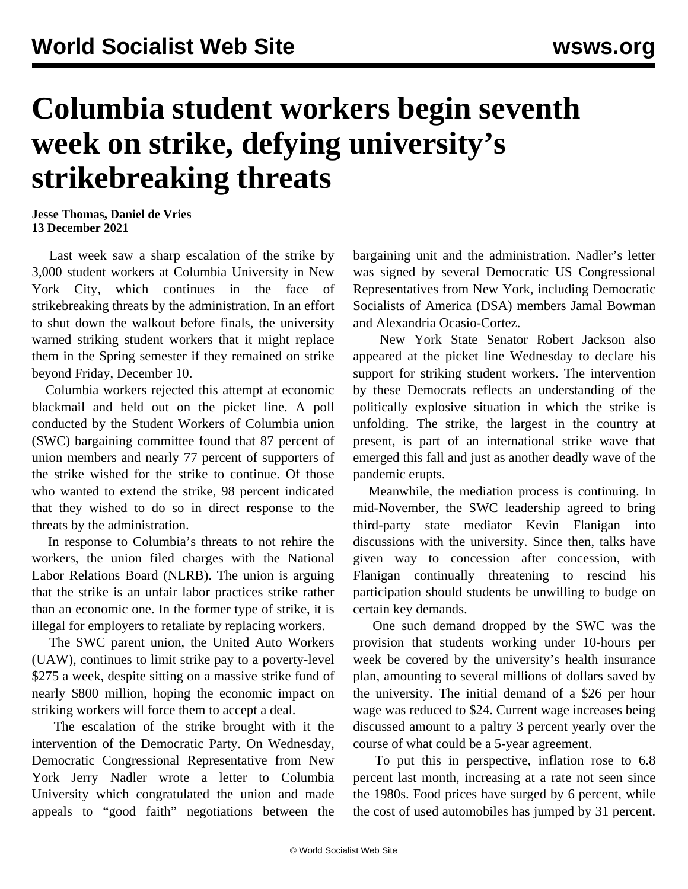## **Columbia student workers begin seventh week on strike, defying university's strikebreaking threats**

**Jesse Thomas, Daniel de Vries 13 December 2021**

 Last week saw a sharp escalation of the strike by 3,000 student workers at Columbia University in New York City, which continues in the face of strikebreaking threats by the administration. In an effort to shut down the walkout before finals, the university warned striking student workers that it might replace them in the Spring semester if they remained on strike beyond Friday, December 10.

 Columbia workers rejected this attempt at economic blackmail and held out on the picket line. A poll conducted by the Student Workers of Columbia union (SWC) bargaining committee found that 87 percent of union members and nearly 77 percent of supporters of the strike wished for the strike to continue. Of those who wanted to extend the strike, 98 percent indicated that they wished to do so in direct response to the threats by the administration.

 In response to Columbia's threats to not rehire the workers, the union filed charges with the National Labor Relations Board (NLRB). The union is arguing that the strike is an unfair labor practices strike rather than an economic one. In the former type of strike, it is illegal for employers to retaliate by replacing workers.

 The SWC parent union, the United Auto Workers (UAW), continues to limit strike pay to a poverty-level \$275 a week, despite sitting on a massive strike fund of nearly \$800 million, hoping the economic impact on striking workers will force them to accept a deal.

 The escalation of the strike brought with it the intervention of the Democratic Party. On Wednesday, Democratic Congressional Representative from New York Jerry Nadler wrote a letter to Columbia University which congratulated the union and made appeals to "good faith" negotiations between the

bargaining unit and the administration. Nadler's letter was signed by several Democratic US Congressional Representatives from New York, including Democratic Socialists of America (DSA) members Jamal Bowman and Alexandria Ocasio-Cortez.

 New York State Senator Robert Jackson also appeared at the picket line Wednesday to declare his support for striking student workers. The intervention by these Democrats reflects an understanding of the politically explosive situation in which the strike is unfolding. The strike, the largest in the country at present, is part of an international strike wave that emerged this fall and just as another deadly wave of the pandemic erupts.

 Meanwhile, the mediation process is continuing. In mid-November, the SWC leadership agreed to bring third-party state mediator Kevin Flanigan into discussions with the university. Since then, talks have given way to concession after concession, with Flanigan continually threatening to rescind his participation should students be unwilling to budge on certain key demands.

 One such demand dropped by the SWC was the provision that students working under 10-hours per week be covered by the university's health insurance plan, amounting to several millions of dollars saved by the university. The initial demand of a \$26 per hour wage was reduced to \$24. Current wage increases being discussed amount to a paltry 3 percent yearly over the course of what could be a 5-year agreement.

 To put this in perspective, inflation rose to 6.8 percent last month, increasing at a rate not seen since the 1980s. Food prices have surged by 6 percent, while the cost of used automobiles has jumped by 31 percent.